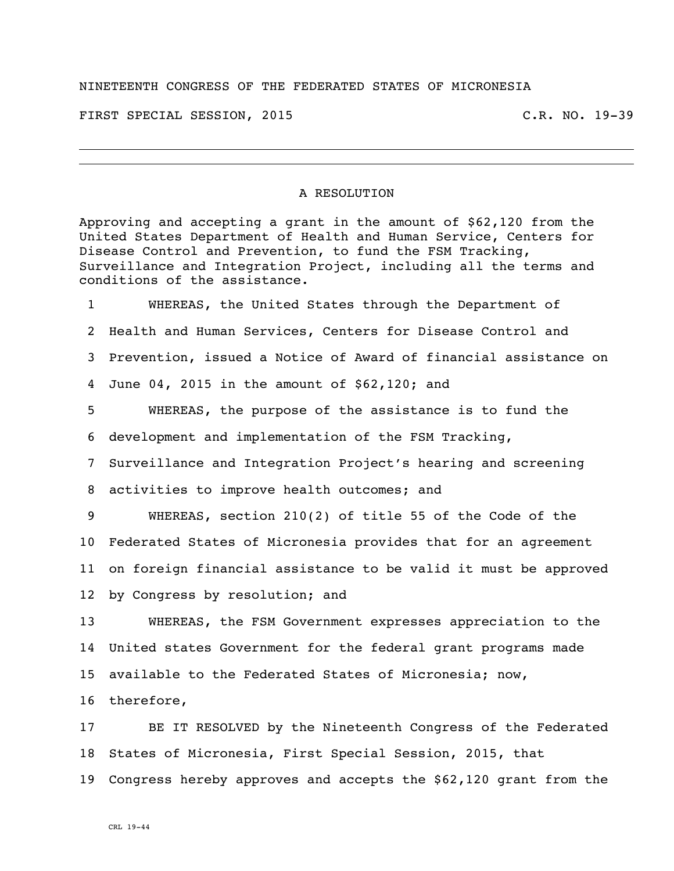## NINETEENTH CONGRESS OF THE FEDERATED STATES OF MICRONESIA

FIRST SPECIAL SESSION, 2015 C.R. NO. 19-39

## A RESOLUTION

Approving and accepting a grant in the amount of \$62,120 from the United States Department of Health and Human Service, Centers for Disease Control and Prevention, to fund the FSM Tracking, Surveillance and Integration Project, including all the terms and conditions of the assistance.

 WHEREAS, the United States through the Department of Health and Human Services, Centers for Disease Control and Prevention, issued a Notice of Award of financial assistance on June 04, 2015 in the amount of \$62,120; and

 WHEREAS, the purpose of the assistance is to fund the development and implementation of the FSM Tracking,

Surveillance and Integration Project's hearing and screening

activities to improve health outcomes; and

 WHEREAS, section 210(2) of title 55 of the Code of the Federated States of Micronesia provides that for an agreement on foreign financial assistance to be valid it must be approved by Congress by resolution; and

 WHEREAS, the FSM Government expresses appreciation to the United states Government for the federal grant programs made available to the Federated States of Micronesia; now,

therefore,

 BE IT RESOLVED by the Nineteenth Congress of the Federated States of Micronesia, First Special Session, 2015, that Congress hereby approves and accepts the \$62,120 grant from the